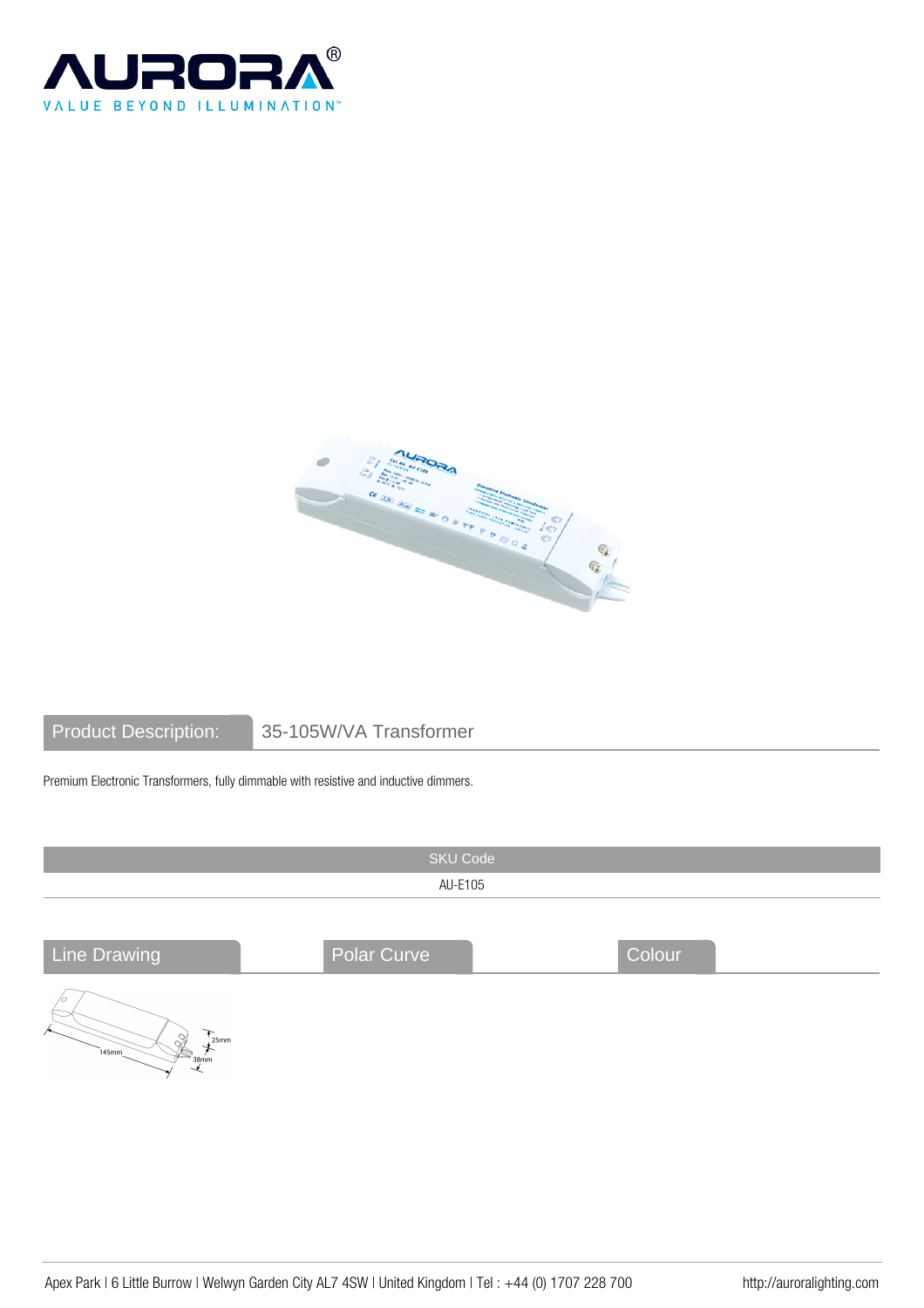



Product Description: 35-105W/VA Transformer

Premium Electronic Transformers, fully dimmable with resistive and inductive dimmers.